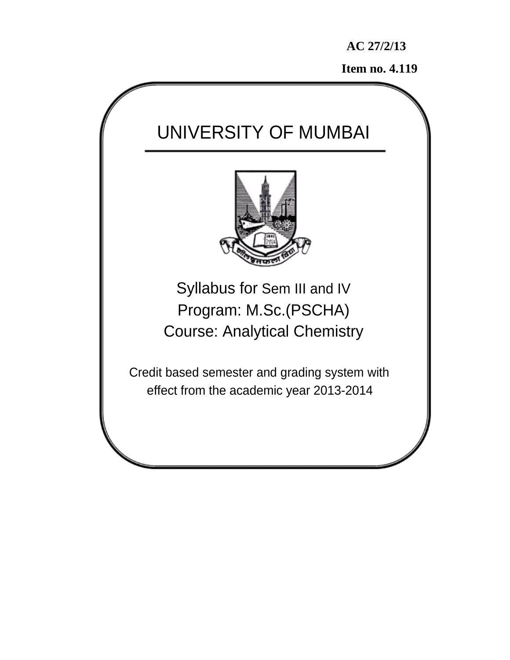**Item no. 4.119** 

# UNIVERSITY OF MUMBAI Syllabus for Sem III and IV Program: M.Sc.(PSCHA) Course: Analytical Chemistry Credit based semester and grading system with effect from the academic year 2013-2014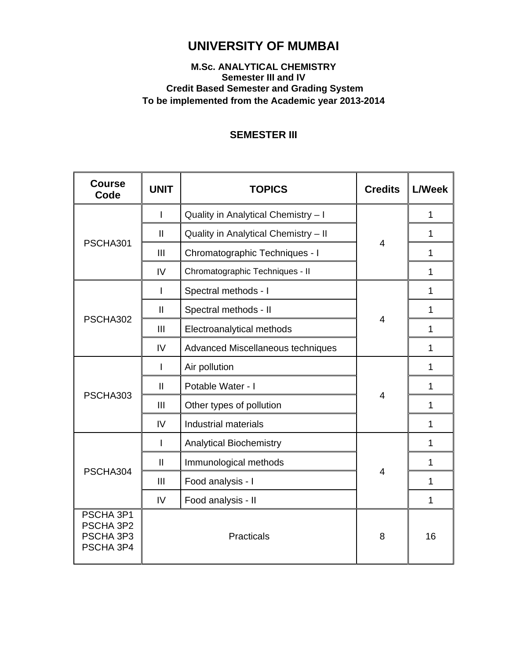# **UNIVERSITY OF MUMBAI**

## **M.Sc. ANALYTICAL CHEMISTRY Semester III and IV Credit Based Semester and Grading System To be implemented from the Academic year 2013-2014**

# **SEMESTER III**

| <b>Course</b><br>Code                            | <b>UNIT</b>   | <b>TOPICS</b>                        | <b>Credits</b> | <b>L/Week</b> |
|--------------------------------------------------|---------------|--------------------------------------|----------------|---------------|
|                                                  | I             | Quality in Analytical Chemistry - I  |                | 1             |
|                                                  | $\mathbf{I}$  | Quality in Analytical Chemistry - II |                | 1             |
| PSCHA301                                         | III           | Chromatographic Techniques - I       | 4              | 1             |
|                                                  | IV            | Chromatographic Techniques - II      |                | 1             |
|                                                  | L             | Spectral methods - I                 |                | 1             |
|                                                  | $\mathbf{I}$  | Spectral methods - II                |                | 1             |
| PSCHA302                                         | Ш             | Electroanalytical methods            | 4              | 1             |
|                                                  | IV            | Advanced Miscellaneous techniques    |                | 1             |
|                                                  | I             | Air pollution                        |                | 1             |
|                                                  | $\mathbf{I}$  | Potable Water - I                    |                | 1             |
| PSCHA303                                         | III           | Other types of pollution             | $\overline{4}$ | 1             |
|                                                  | IV            | <b>Industrial materials</b>          |                | 1             |
|                                                  | I             | <b>Analytical Biochemistry</b>       |                | 1             |
|                                                  | $\mathbf{II}$ | Immunological methods                |                | 1             |
| PSCHA304                                         | III           | Food analysis - I                    | 4              | 1             |
|                                                  | IV            | Food analysis - II                   |                | 1             |
| PSCHA 3P1<br>PSCHA 3P2<br>PSCHA 3P3<br>PSCHA 3P4 |               | Practicals                           | 8              | 16            |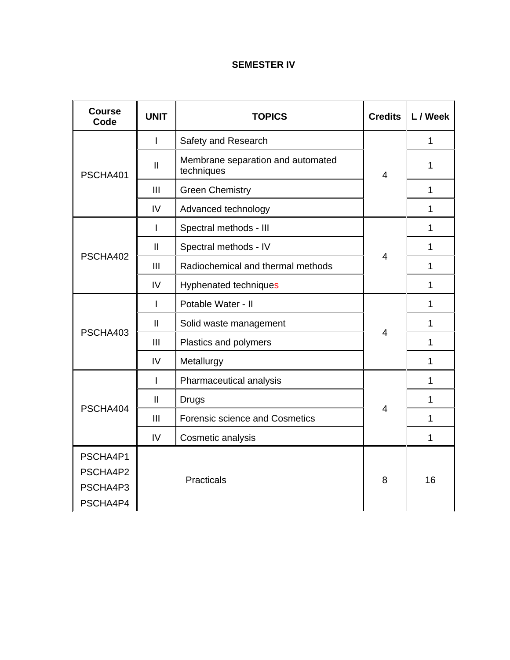# **SEMESTER IV**

| <b>Course</b><br>Code                        | <b>UNIT</b>   | <b>TOPICS</b>                                   | <b>Credits</b> | L / Week     |
|----------------------------------------------|---------------|-------------------------------------------------|----------------|--------------|
|                                              | L             | Safety and Research                             | $\overline{4}$ | 1            |
| PSCHA401                                     | $\mathbf{I}$  | Membrane separation and automated<br>techniques |                | 1            |
|                                              | Ш             | <b>Green Chemistry</b>                          |                | $\mathbf{1}$ |
|                                              | IV            | Advanced technology                             |                | 1            |
|                                              | I             | Spectral methods - III                          |                | 1            |
|                                              | $\mathbf{II}$ | Spectral methods - IV                           |                | $\mathbf{1}$ |
| PSCHA402                                     | III           | Radiochemical and thermal methods               | $\overline{4}$ | 1            |
|                                              | IV            | Hyphenated techniques                           |                | 1            |
|                                              | I             | Potable Water - II                              |                | 1            |
|                                              | $\mathbf{I}$  | Solid waste management                          |                | 1            |
| PSCHA403                                     | III           | Plastics and polymers                           | $\overline{4}$ | 1            |
|                                              | IV            | Metallurgy                                      |                | 1            |
|                                              | I             | Pharmaceutical analysis                         | $\overline{4}$ | 1            |
|                                              | $\mathbf{II}$ | <b>Drugs</b>                                    |                | 1            |
| PSCHA404                                     | Ш             | <b>Forensic science and Cosmetics</b>           |                | 1            |
|                                              | IV            | Cosmetic analysis                               |                | 1            |
| PSCHA4P1<br>PSCHA4P2<br>PSCHA4P3<br>PSCHA4P4 |               | Practicals                                      | 8              | 16           |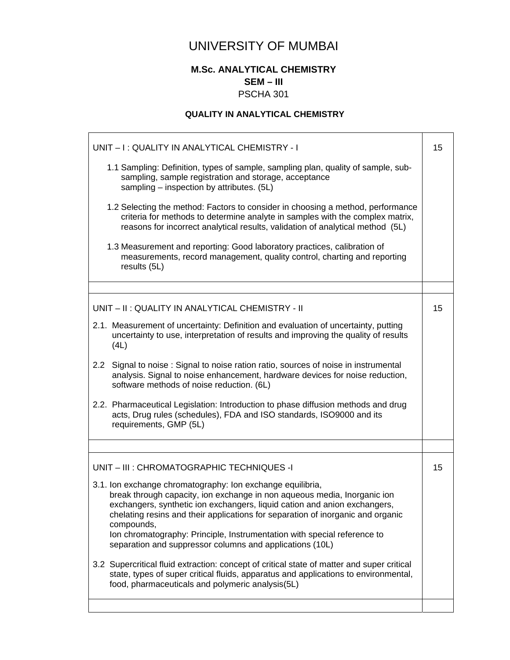# UNIVERSITY OF MUMBAI

## **M.Sc. ANALYTICAL CHEMISTRY SEM – III**  PSCHA 301

# **QUALITY IN ANALYTICAL CHEMISTRY**

| UNIT - I: QUALITY IN ANALYTICAL CHEMISTRY - I                                                                                                                                                                                                                                                                                                                                                                                                                |    |  |
|--------------------------------------------------------------------------------------------------------------------------------------------------------------------------------------------------------------------------------------------------------------------------------------------------------------------------------------------------------------------------------------------------------------------------------------------------------------|----|--|
| 1.1 Sampling: Definition, types of sample, sampling plan, quality of sample, sub-<br>sampling, sample registration and storage, acceptance<br>sampling – inspection by attributes. (5L)                                                                                                                                                                                                                                                                      |    |  |
| 1.2 Selecting the method: Factors to consider in choosing a method, performance<br>criteria for methods to determine analyte in samples with the complex matrix,<br>reasons for incorrect analytical results, validation of analytical method (5L)                                                                                                                                                                                                           |    |  |
| 1.3 Measurement and reporting: Good laboratory practices, calibration of<br>measurements, record management, quality control, charting and reporting<br>results (5L)                                                                                                                                                                                                                                                                                         |    |  |
|                                                                                                                                                                                                                                                                                                                                                                                                                                                              |    |  |
| UNIT - II : QUALITY IN ANALYTICAL CHEMISTRY - II                                                                                                                                                                                                                                                                                                                                                                                                             | 15 |  |
| 2.1. Measurement of uncertainty: Definition and evaluation of uncertainty, putting<br>uncertainty to use, interpretation of results and improving the quality of results<br>(4L)                                                                                                                                                                                                                                                                             |    |  |
| 2.2 Signal to noise: Signal to noise ration ratio, sources of noise in instrumental<br>analysis. Signal to noise enhancement, hardware devices for noise reduction,<br>software methods of noise reduction. (6L)                                                                                                                                                                                                                                             |    |  |
| 2.2. Pharmaceutical Legislation: Introduction to phase diffusion methods and drug<br>acts, Drug rules (schedules), FDA and ISO standards, ISO9000 and its<br>requirements, GMP (5L)                                                                                                                                                                                                                                                                          |    |  |
|                                                                                                                                                                                                                                                                                                                                                                                                                                                              |    |  |
| UNIT - III : CHROMATOGRAPHIC TECHNIQUES -I                                                                                                                                                                                                                                                                                                                                                                                                                   | 15 |  |
| 3.1. Ion exchange chromatography: Ion exchange equilibria,<br>break through capacity, ion exchange in non aqueous media, Inorganic ion<br>exchangers, synthetic ion exchangers, liquid cation and anion exchangers,<br>chelating resins and their applications for separation of inorganic and organic<br>compounds,<br>Ion chromatography: Principle, Instrumentation with special reference to<br>separation and suppressor columns and applications (10L) |    |  |
| 3.2 Supercritical fluid extraction: concept of critical state of matter and super critical<br>state, types of super critical fluids, apparatus and applications to environmental,<br>food, pharmaceuticals and polymeric analysis(5L)                                                                                                                                                                                                                        |    |  |
|                                                                                                                                                                                                                                                                                                                                                                                                                                                              |    |  |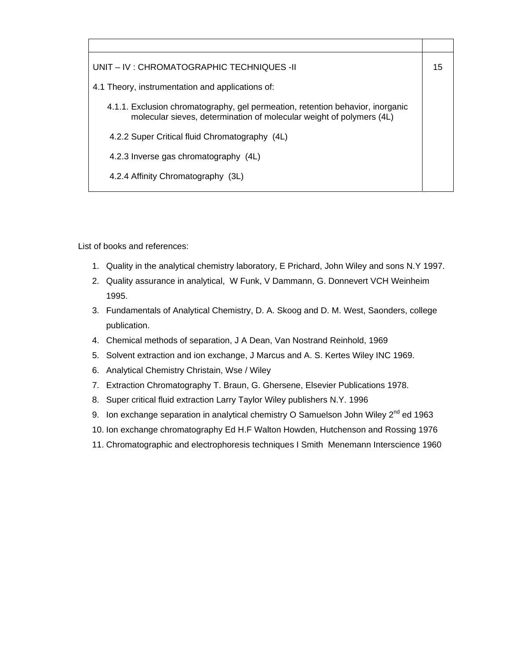| UNIT – IV : CHROMATOGRAPHIC TECHNIQUES -II                                                                                                             | 15 |
|--------------------------------------------------------------------------------------------------------------------------------------------------------|----|
| 4.1 Theory, instrumentation and applications of:                                                                                                       |    |
| 4.1.1. Exclusion chromatography, gel permeation, retention behavior, inorganic<br>molecular sieves, determination of molecular weight of polymers (4L) |    |
| 4.2.2 Super Critical fluid Chromatography (4L)                                                                                                         |    |
| 4.2.3 Inverse gas chromatography (4L)                                                                                                                  |    |
| 4.2.4 Affinity Chromatography (3L)                                                                                                                     |    |

List of books and references:

- 1. Quality in the analytical chemistry laboratory, E Prichard, John Wiley and sons N.Y 1997.
- 2. Quality assurance in analytical, W Funk, V Dammann, G. Donnevert VCH Weinheim 1995.
- 3. Fundamentals of Analytical Chemistry, D. A. Skoog and D. M. West, Saonders, college publication.
- 4. Chemical methods of separation, J A Dean, Van Nostrand Reinhold, 1969
- 5. Solvent extraction and ion exchange, J Marcus and A. S. Kertes Wiley INC 1969.
- 6. Analytical Chemistry Christain, Wse / Wiley
- 7. Extraction Chromatography T. Braun, G. Ghersene, Elsevier Publications 1978.
- 8. Super critical fluid extraction Larry Taylor Wiley publishers N.Y. 1996
- 9. Ion exchange separation in analytical chemistry O Samuelson John Wiley 2<sup>nd</sup> ed 1963
- 10. Ion exchange chromatography Ed H.F Walton Howden, Hutchenson and Rossing 1976
- 11. Chromatographic and electrophoresis techniques I Smith Menemann Interscience 1960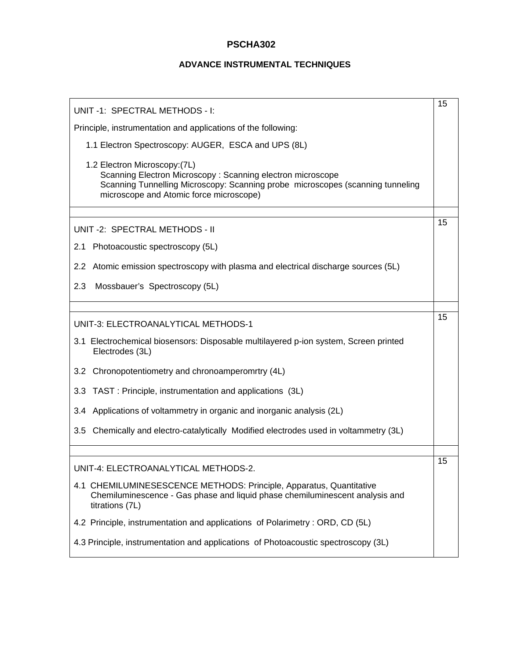#### **ADVANCE INSTRUMENTAL TECHNIQUES**

| UNIT -1: SPECTRAL METHODS - I:                                                                                                                                                                                           | 15 |  |
|--------------------------------------------------------------------------------------------------------------------------------------------------------------------------------------------------------------------------|----|--|
| Principle, instrumentation and applications of the following:                                                                                                                                                            |    |  |
| 1.1 Electron Spectroscopy: AUGER, ESCA and UPS (8L)                                                                                                                                                                      |    |  |
| 1.2 Electron Microscopy: (7L)<br>Scanning Electron Microscopy: Scanning electron microscope<br>Scanning Tunnelling Microscopy: Scanning probe microscopes (scanning tunneling<br>microscope and Atomic force microscope) |    |  |
|                                                                                                                                                                                                                          | 15 |  |
| UNIT -2: SPECTRAL METHODS - II                                                                                                                                                                                           |    |  |
| 2.1 Photoacoustic spectroscopy (5L)                                                                                                                                                                                      |    |  |
| 2.2 Atomic emission spectroscopy with plasma and electrical discharge sources (5L)                                                                                                                                       |    |  |
| 2.3<br>Mossbauer's Spectroscopy (5L)                                                                                                                                                                                     |    |  |
|                                                                                                                                                                                                                          |    |  |
| UNIT-3: ELECTROANALYTICAL METHODS-1                                                                                                                                                                                      | 15 |  |
| 3.1 Electrochemical biosensors: Disposable multilayered p-ion system, Screen printed<br>Electrodes (3L)                                                                                                                  |    |  |
| 3.2 Chronopotentiometry and chronoamperomrtry (4L)                                                                                                                                                                       |    |  |
| 3.3 TAST: Principle, instrumentation and applications (3L)                                                                                                                                                               |    |  |
| 3.4 Applications of voltammetry in organic and inorganic analysis (2L)                                                                                                                                                   |    |  |
| 3.5 Chemically and electro-catalytically Modified electrodes used in voltammetry (3L)                                                                                                                                    |    |  |
|                                                                                                                                                                                                                          |    |  |
| UNIT-4: ELECTROANALYTICAL METHODS-2.                                                                                                                                                                                     | 15 |  |
| 4.1 CHEMILUMINESESCENCE METHODS: Principle, Apparatus, Quantitative<br>Chemiluminescence - Gas phase and liquid phase chemiluminescent analysis and<br>titrations (7L)                                                   |    |  |
| 4.2 Principle, instrumentation and applications of Polarimetry : ORD, CD (5L)                                                                                                                                            |    |  |
| 4.3 Principle, instrumentation and applications of Photoacoustic spectroscopy (3L)                                                                                                                                       |    |  |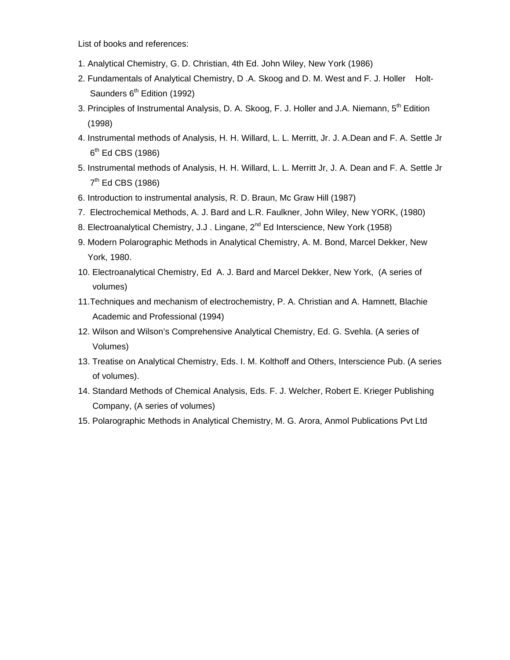List of books and references:

- 1. Analytical Chemistry, G. D. Christian, 4th Ed. John Wiley, New York (1986)
- 2. Fundamentals of Analytical Chemistry, D.A. Skoog and D. M. West and F. J. Holler Holt-Saunders 6<sup>th</sup> Edition (1992)
- 3. Principles of Instrumental Analysis, D. A. Skoog, F. J. Holler and J.A. Niemann, 5<sup>th</sup> Edition (1998)
- 4. Instrumental methods of Analysis, H. H. Willard, L. L. Merritt, Jr. J. A.Dean and F. A. Settle Jr  $6<sup>th</sup>$  Ed CBS (1986)
- 5. Instrumental methods of Analysis, H. H. Willard, L. L. Merritt Jr, J. A. Dean and F. A. Settle Jr  $7<sup>th</sup>$  Ed CBS (1986)
- 6. Introduction to instrumental analysis, R. D. Braun, Mc Graw Hill (1987)
- 7. Electrochemical Methods, A. J. Bard and L.R. Faulkner, John Wiley, New YORK, (1980)
- 8. Electroanalytical Chemistry, J.J. Lingane,  $2^{nd}$  Ed Interscience, New York (1958)
- 9. Modern Polarographic Methods in Analytical Chemistry, A. M. Bond, Marcel Dekker, New York, 1980.
- 10. Electroanalytical Chemistry, Ed A. J. Bard and Marcel Dekker, New York, (A series of volumes)
- 11.Techniques and mechanism of electrochemistry, P. A. Christian and A. Hamnett, Blachie Academic and Professional (1994)
- 12. Wilson and Wilson's Comprehensive Analytical Chemistry, Ed. G. Svehla. (A series of Volumes)
- 13. Treatise on Analytical Chemistry, Eds. I. M. Kolthoff and Others, Interscience Pub. (A series of volumes).
- 14. Standard Methods of Chemical Analysis, Eds. F. J. Welcher, Robert E. Krieger Publishing Company, (A series of volumes)
- 15. Polarographic Methods in Analytical Chemistry, M. G. Arora, Anmol Publications Pvt Ltd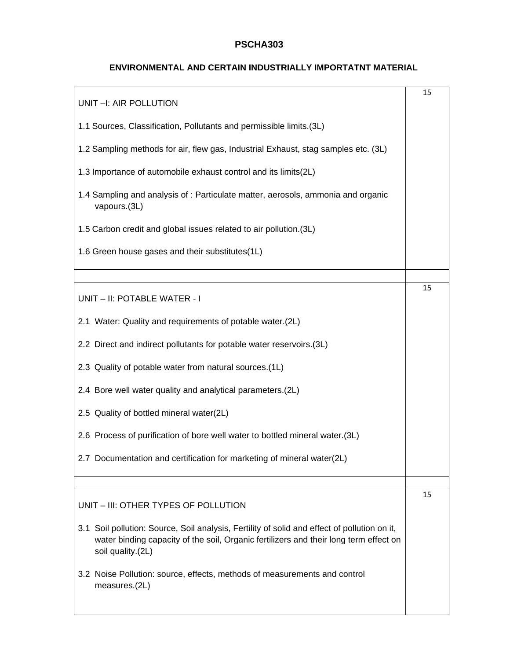#### **ENVIRONMENTAL AND CERTAIN INDUSTRIALLY IMPORTATNT MATERIAL**

| UNIT -I: AIR POLLUTION                                                                                                                                                                                     | 15 |
|------------------------------------------------------------------------------------------------------------------------------------------------------------------------------------------------------------|----|
| 1.1 Sources, Classification, Pollutants and permissible limits.(3L)                                                                                                                                        |    |
| 1.2 Sampling methods for air, flew gas, Industrial Exhaust, stag samples etc. (3L)                                                                                                                         |    |
| 1.3 Importance of automobile exhaust control and its limits(2L)                                                                                                                                            |    |
| 1.4 Sampling and analysis of: Particulate matter, aerosols, ammonia and organic<br>vapours.(3L)                                                                                                            |    |
| 1.5 Carbon credit and global issues related to air pollution. (3L)                                                                                                                                         |    |
| 1.6 Green house gases and their substitutes(1L)                                                                                                                                                            |    |
|                                                                                                                                                                                                            |    |
| UNIT - II: POTABLE WATER - I                                                                                                                                                                               | 15 |
| 2.1 Water: Quality and requirements of potable water.(2L)                                                                                                                                                  |    |
| 2.2 Direct and indirect pollutants for potable water reservoirs.(3L)                                                                                                                                       |    |
| 2.3 Quality of potable water from natural sources.(1L)                                                                                                                                                     |    |
| 2.4 Bore well water quality and analytical parameters.(2L)                                                                                                                                                 |    |
| 2.5 Quality of bottled mineral water(2L)                                                                                                                                                                   |    |
| 2.6 Process of purification of bore well water to bottled mineral water.(3L)                                                                                                                               |    |
| 2.7 Documentation and certification for marketing of mineral water(2L)                                                                                                                                     |    |
|                                                                                                                                                                                                            |    |
| UNIT - III: OTHER TYPES OF POLLUTION                                                                                                                                                                       | 15 |
| 3.1 Soil pollution: Source, Soil analysis, Fertility of solid and effect of pollution on it,<br>water binding capacity of the soil, Organic fertilizers and their long term effect on<br>soil quality.(2L) |    |
| 3.2 Noise Pollution: source, effects, methods of measurements and control<br>measures.(2L)                                                                                                                 |    |
|                                                                                                                                                                                                            |    |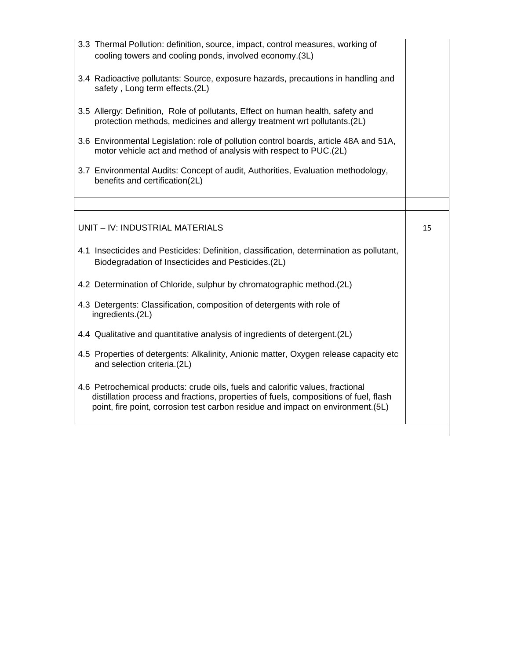| 3.3 Thermal Pollution: definition, source, impact, control measures, working of<br>cooling towers and cooling ponds, involved economy.(3L)                                                                                                                 |    |
|------------------------------------------------------------------------------------------------------------------------------------------------------------------------------------------------------------------------------------------------------------|----|
| 3.4 Radioactive pollutants: Source, exposure hazards, precautions in handling and<br>safety, Long term effects.(2L)                                                                                                                                        |    |
| 3.5 Allergy: Definition, Role of pollutants, Effect on human health, safety and<br>protection methods, medicines and allergy treatment wrt pollutants.(2L)                                                                                                 |    |
| 3.6 Environmental Legislation: role of pollution control boards, article 48A and 51A,<br>motor vehicle act and method of analysis with respect to PUC.(2L)                                                                                                 |    |
| 3.7 Environmental Audits: Concept of audit, Authorities, Evaluation methodology,<br>benefits and certification(2L)                                                                                                                                         |    |
|                                                                                                                                                                                                                                                            |    |
| UNIT - IV: INDUSTRIAL MATERIALS                                                                                                                                                                                                                            | 15 |
| 4.1 Insecticides and Pesticides: Definition, classification, determination as pollutant,<br>Biodegradation of Insecticides and Pesticides.(2L)                                                                                                             |    |
| 4.2 Determination of Chloride, sulphur by chromatographic method.(2L)                                                                                                                                                                                      |    |
| 4.3 Detergents: Classification, composition of detergents with role of<br>ingredients.(2L)                                                                                                                                                                 |    |
| 4.4 Qualitative and quantitative analysis of ingredients of detergent. (2L)                                                                                                                                                                                |    |
| 4.5 Properties of detergents: Alkalinity, Anionic matter, Oxygen release capacity etc<br>and selection criteria.(2L)                                                                                                                                       |    |
| 4.6 Petrochemical products: crude oils, fuels and calorific values, fractional<br>distillation process and fractions, properties of fuels, compositions of fuel, flash<br>point, fire point, corrosion test carbon residue and impact on environment. (5L) |    |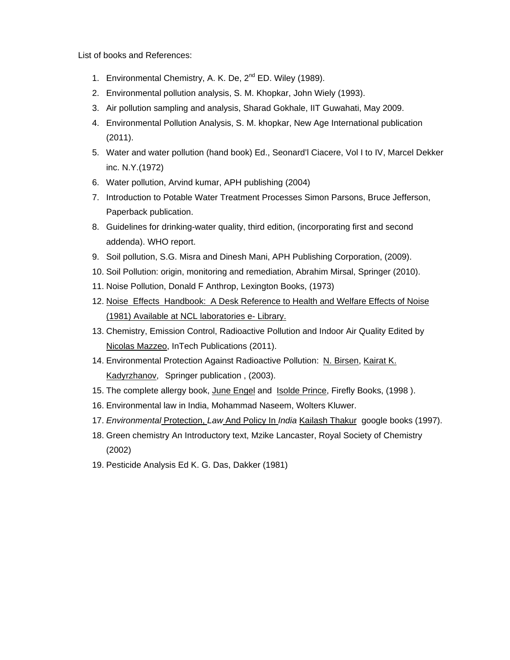List of books and References:

- 1. Environmental Chemistry, A. K. De, 2<sup>nd</sup> ED. Wiley (1989).
- 2. Environmental pollution analysis, S. M. Khopkar, John Wiely (1993).
- 3. Air pollution sampling and analysis, Sharad Gokhale, IIT Guwahati, May 2009.
- 4. Environmental Pollution Analysis, S. M. khopkar, New Age International publication (2011).
- 5. Water and water pollution (hand book) Ed., Seonard'l Ciacere, Vol I to IV, Marcel Dekker inc. N.Y.(1972)
- 6. Water pollution, Arvind kumar, APH publishing (2004)
- 7. Introduction to Potable Water Treatment Processes Simon Parsons, Bruce Jefferson, Paperback publication.
- 8. Guidelines for drinking-water quality, third edition, (incorporating first and second addenda). WHO report.
- 9. Soil pollution, S.G. Misra and Dinesh Mani, APH Publishing Corporation, (2009).
- 10. Soil Pollution: origin, monitoring and remediation, Abrahim Mirsal, Springer (2010).
- 11. Noise Pollution, Donald F Anthrop, Lexington Books, (1973)
- 12. Noise Effects Handbook: A Desk Reference to Health and Welfare Effects of Noise (1981) Available at NCL laboratories e- Library.
- 13. Chemistry, Emission Control, Radioactive Pollution and Indoor Air Quality Edited by Nicolas Mazzeo, InTech Publications (2011).
- 14. Environmental Protection Against Radioactive Pollution: N. Birsen, Kairat K. Kadyrzhanov, Springer publication , (2003).
- 15. The complete allergy book, June Engel and Isolde Prince, Firefly Books, (1998 ).
- 16. Environmental law in India, Mohammad Naseem, Wolters Kluwer.
- 17. *Environmental* Protection, *Law* And Policy In *India* Kailash Thakur google books (1997).
- 18. Green chemistry An Introductory text, Mzike Lancaster, Royal Society of Chemistry (2002)
- 19. Pesticide Analysis Ed K. G. Das, Dakker (1981)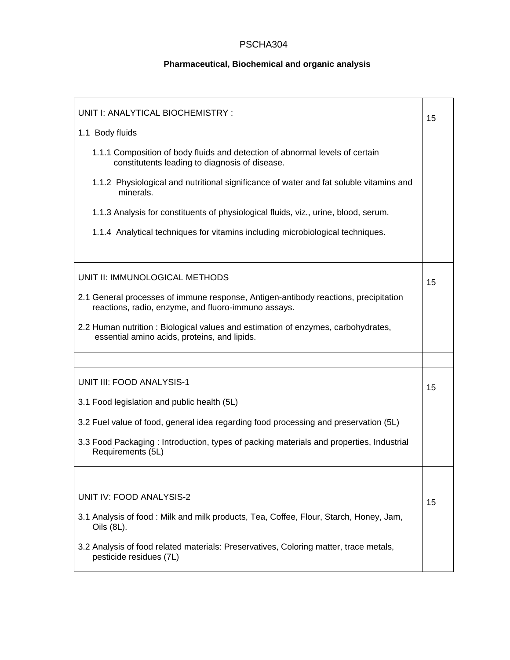# **Pharmaceutical, Biochemical and organic analysis**

| UNIT I: ANALYTICAL BIOCHEMISTRY :                                                                                                          |    |  |  |
|--------------------------------------------------------------------------------------------------------------------------------------------|----|--|--|
| 1.1 Body fluids                                                                                                                            |    |  |  |
| 1.1.1 Composition of body fluids and detection of abnormal levels of certain<br>constitutents leading to diagnosis of disease.             |    |  |  |
| 1.1.2 Physiological and nutritional significance of water and fat soluble vitamins and<br>minerals.                                        |    |  |  |
| 1.1.3 Analysis for constituents of physiological fluids, viz., urine, blood, serum.                                                        |    |  |  |
| 1.1.4 Analytical techniques for vitamins including microbiological techniques.                                                             |    |  |  |
|                                                                                                                                            |    |  |  |
| UNIT II: IMMUNOLOGICAL METHODS                                                                                                             | 15 |  |  |
| 2.1 General processes of immune response, Antigen-antibody reactions, precipitation<br>reactions, radio, enzyme, and fluoro-immuno assays. |    |  |  |
| 2.2 Human nutrition : Biological values and estimation of enzymes, carbohydrates,<br>essential amino acids, proteins, and lipids.          |    |  |  |
|                                                                                                                                            |    |  |  |
| <b>UNIT III: FOOD ANALYSIS-1</b>                                                                                                           | 15 |  |  |
| 3.1 Food legislation and public health (5L)                                                                                                |    |  |  |
| 3.2 Fuel value of food, general idea regarding food processing and preservation (5L)                                                       |    |  |  |
| 3.3 Food Packaging: Introduction, types of packing materials and properties, Industrial<br>Requirements (5L)                               |    |  |  |
|                                                                                                                                            |    |  |  |
| UNIT IV: FOOD ANALYSIS-2                                                                                                                   | 15 |  |  |
| 3.1 Analysis of food: Milk and milk products, Tea, Coffee, Flour, Starch, Honey, Jam,<br>Oils (8L).                                        |    |  |  |
| 3.2 Analysis of food related materials: Preservatives, Coloring matter, trace metals,<br>pesticide residues (7L)                           |    |  |  |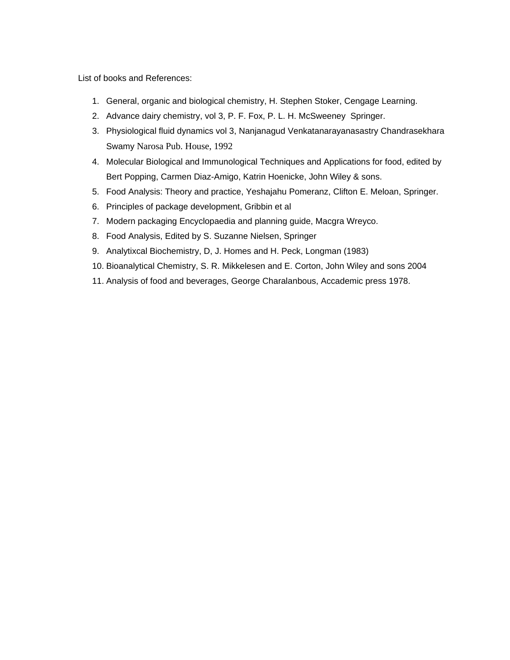List of books and References:

- 1. General, organic and biological chemistry, H. Stephen Stoker, Cengage Learning.
- 2. Advance dairy chemistry, vol 3, P. F. Fox, P. L. H. McSweeney Springer.
- 3. Physiological fluid dynamics vol 3, Nanjanagud Venkatanarayanasastry Chandrasekhara Swamy Narosa Pub. House, 1992
- 4. Molecular Biological and Immunological Techniques and Applications for food, edited by Bert Popping, Carmen Diaz-Amigo, Katrin Hoenicke, John Wiley & sons.
- 5. Food Analysis: Theory and practice, Yeshajahu Pomeranz, Clifton E. Meloan, Springer.
- 6. Principles of package development, Gribbin et al
- 7. Modern packaging Encyclopaedia and planning guide, Macgra Wreyco.
- 8. Food Analysis, Edited by S. Suzanne Nielsen, Springer
- 9. Analytixcal Biochemistry, D, J. Homes and H. Peck, Longman (1983)
- 10. Bioanalytical Chemistry, S. R. Mikkelesen and E. Corton, John Wiley and sons 2004
- 11. Analysis of food and beverages, George Charalanbous, Accademic press 1978.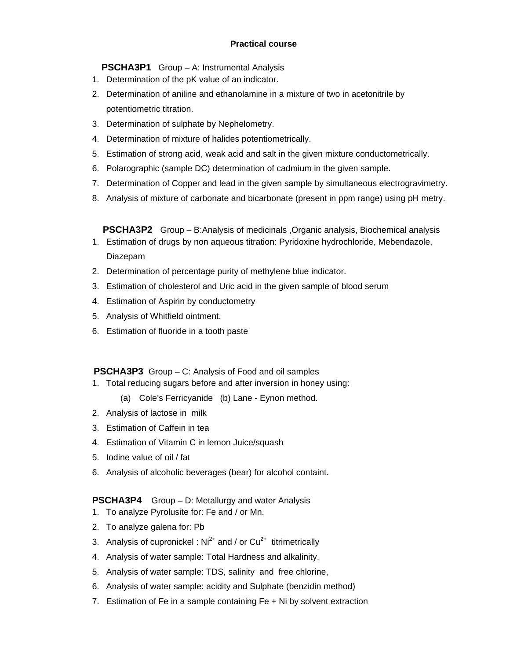#### **Practical course**

**PSCHA3P1** Group – A: Instrumental Analysis

- 1. Determination of the pK value of an indicator.
- 2. Determination of aniline and ethanolamine in a mixture of two in acetonitrile by potentiometric titration.
- 3. Determination of sulphate by Nephelometry.
- 4. Determination of mixture of halides potentiometrically.
- 5. Estimation of strong acid, weak acid and salt in the given mixture conductometrically.
- 6. Polarographic (sample DC) determination of cadmium in the given sample.
- 7. Determination of Copper and lead in the given sample by simultaneous electrogravimetry.
- 8. Analysis of mixture of carbonate and bicarbonate (present in ppm range) using pH metry.

**PSCHA3P2** Group – B:Analysis of medicinals ,Organic analysis, Biochemical analysis

- 1. Estimation of drugs by non aqueous titration: Pyridoxine hydrochloride, Mebendazole, Diazepam
- 2. Determination of percentage purity of methylene blue indicator.
- 3. Estimation of cholesterol and Uric acid in the given sample of blood serum
- 4. Estimation of Aspirin by conductometry
- 5. Analysis of Whitfield ointment.
- 6. Estimation of fluoride in a tooth paste

 **PSCHA3P3** Group – C: Analysis of Food and oil samples

1. Total reducing sugars before and after inversion in honey using:

(a) Cole's Ferricyanide (b) Lane - Eynon method.

- 2. Analysis of lactose in milk
- 3. Estimation of Caffein in tea
- 4. Estimation of Vitamin C in lemon Juice/squash
- 5. Iodine value of oil / fat
- 6. Analysis of alcoholic beverages (bear) for alcohol containt.

#### **PSCHA3P4** Group – D: Metallurgy and water Analysis

- 1. To analyze Pyrolusite for: Fe and / or Mn.
- 2. To analyze galena for: Pb
- 3. Analysis of cupronickel :  $Ni<sup>2+</sup>$  and / or  $Cu<sup>2+</sup>$  titrimetrically
- 4. Analysis of water sample: Total Hardness and alkalinity,
- 5. Analysis of water sample: TDS, salinity and free chlorine,
- 6. Analysis of water sample: acidity and Sulphate (benzidin method)
- 7. Estimation of Fe in a sample containing Fe + Ni by solvent extraction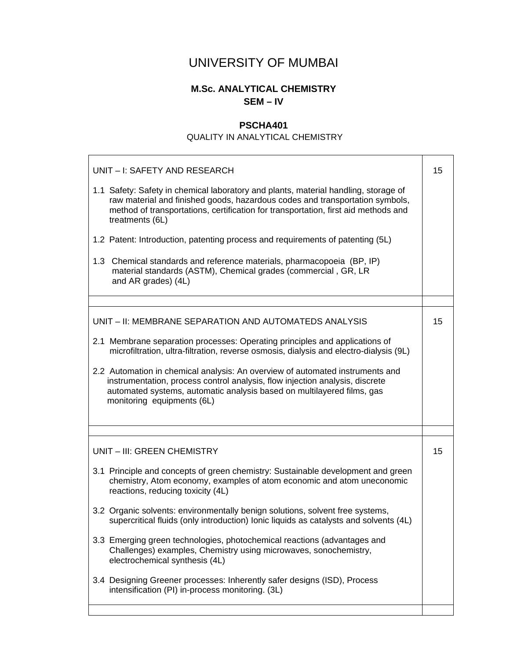# UNIVERSITY OF MUMBAI

# **M.Sc. ANALYTICAL CHEMISTRY SEM – IV**

# **PSCHA401**

#### QUALITY IN ANALYTICAL CHEMISTRY

| UNIT - I: SAFETY AND RESEARCH                                                                                                                                                                                                                                                |    |  |
|------------------------------------------------------------------------------------------------------------------------------------------------------------------------------------------------------------------------------------------------------------------------------|----|--|
| 1.1 Safety: Safety in chemical laboratory and plants, material handling, storage of<br>raw material and finished goods, hazardous codes and transportation symbols,<br>method of transportations, certification for transportation, first aid methods and<br>treatments (6L) |    |  |
| 1.2 Patent: Introduction, patenting process and requirements of patenting (5L)                                                                                                                                                                                               |    |  |
| 1.3 Chemical standards and reference materials, pharmacopoeia (BP, IP)<br>material standards (ASTM), Chemical grades (commercial, GR, LR<br>and AR grades) (4L)                                                                                                              |    |  |
|                                                                                                                                                                                                                                                                              |    |  |
| UNIT - II: MEMBRANE SEPARATION AND AUTOMATEDS ANALYSIS                                                                                                                                                                                                                       | 15 |  |
| 2.1 Membrane separation processes: Operating principles and applications of<br>microfiltration, ultra-filtration, reverse osmosis, dialysis and electro-dialysis (9L)                                                                                                        |    |  |
| 2.2 Automation in chemical analysis: An overview of automated instruments and<br>instrumentation, process control analysis, flow injection analysis, discrete<br>automated systems, automatic analysis based on multilayered films, gas<br>monitoring equipments (6L)        |    |  |
|                                                                                                                                                                                                                                                                              |    |  |
| UNIT - III: GREEN CHEMISTRY                                                                                                                                                                                                                                                  | 15 |  |
| 3.1 Principle and concepts of green chemistry: Sustainable development and green<br>chemistry, Atom economy, examples of atom economic and atom uneconomic<br>reactions, reducing toxicity (4L)                                                                              |    |  |
| 3.2 Organic solvents: environmentally benign solutions, solvent free systems,<br>supercritical fluids (only introduction) lonic liquids as catalysts and solvents (4L)                                                                                                       |    |  |
| 3.3 Emerging green technologies, photochemical reactions (advantages and<br>Challenges) examples, Chemistry using microwaves, sonochemistry,<br>electrochemical synthesis (4L)                                                                                               |    |  |
| 3.4 Designing Greener processes: Inherently safer designs (ISD), Process<br>intensification (PI) in-process monitoring. (3L)                                                                                                                                                 |    |  |
|                                                                                                                                                                                                                                                                              |    |  |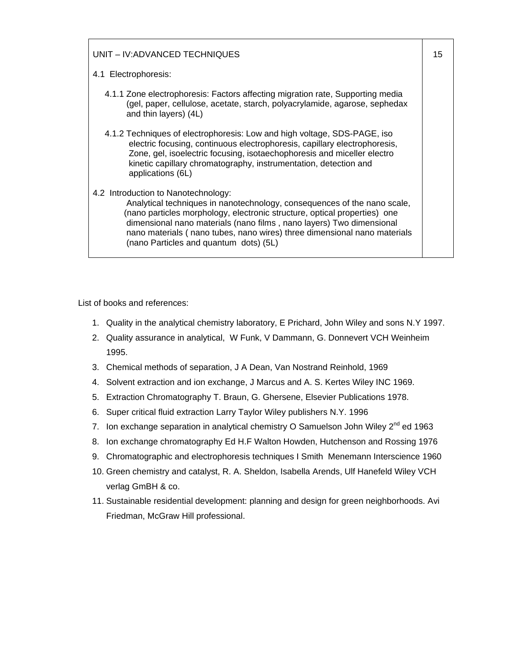| UNIT - IV: ADVANCED TECHNIQUES                                                                                                                                                                                                                                                                                                                                                             | 15 |
|--------------------------------------------------------------------------------------------------------------------------------------------------------------------------------------------------------------------------------------------------------------------------------------------------------------------------------------------------------------------------------------------|----|
| 4.1 Electrophoresis:                                                                                                                                                                                                                                                                                                                                                                       |    |
| 4.1.1 Zone electrophoresis: Factors affecting migration rate, Supporting media<br>(gel, paper, cellulose, acetate, starch, polyacrylamide, agarose, sephedax<br>and thin layers) (4L)                                                                                                                                                                                                      |    |
| 4.1.2 Techniques of electrophoresis: Low and high voltage, SDS-PAGE, iso<br>electric focusing, continuous electrophoresis, capillary electrophoresis,<br>Zone, gel, isoelectric focusing, isotaechophoresis and miceller electro<br>kinetic capillary chromatography, instrumentation, detection and<br>applications (6L)                                                                  |    |
| 4.2 Introduction to Nanotechnology:<br>Analytical techniques in nanotechnology, consequences of the nano scale,<br>(nano particles morphology, electronic structure, optical properties) one<br>dimensional nano materials (nano films, nano layers) Two dimensional<br>nano materials (nano tubes, nano wires) three dimensional nano materials<br>(nano Particles and quantum dots) (5L) |    |

List of books and references:

- 1. Quality in the analytical chemistry laboratory, E Prichard, John Wiley and sons N.Y 1997.
- 2. Quality assurance in analytical, W Funk, V Dammann, G. Donnevert VCH Weinheim 1995.
- 3. Chemical methods of separation, J A Dean, Van Nostrand Reinhold, 1969
- 4. Solvent extraction and ion exchange, J Marcus and A. S. Kertes Wiley INC 1969.
- 5. Extraction Chromatography T. Braun, G. Ghersene, Elsevier Publications 1978.
- 6. Super critical fluid extraction Larry Taylor Wiley publishers N.Y. 1996
- 7. Ion exchange separation in analytical chemistry O Samuelson John Wiley 2<sup>nd</sup> ed 1963
- 8. Ion exchange chromatography Ed H.F Walton Howden, Hutchenson and Rossing 1976
- 9. Chromatographic and electrophoresis techniques I Smith Menemann Interscience 1960
- 10. Green chemistry and catalyst, R. A. Sheldon, Isabella Arends, Ulf Hanefeld Wiley VCH verlag GmBH & co.
- 11. Sustainable residential development: planning and design for green neighborhoods. Avi Friedman, McGraw Hill professional.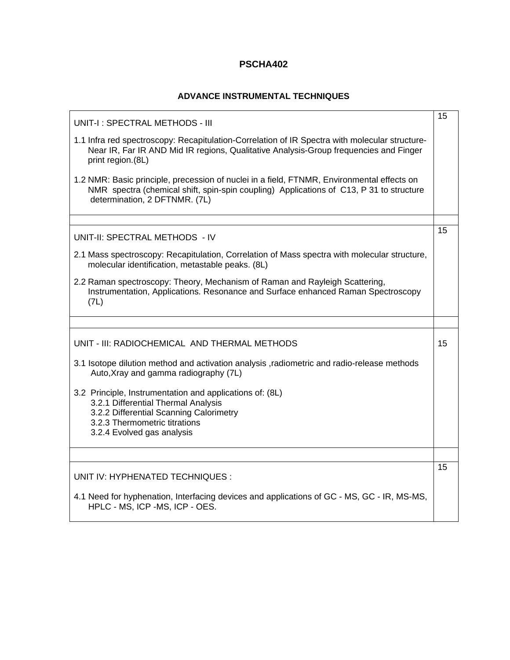#### **ADVANCE INSTRUMENTAL TECHNIQUES**

| UNIT-I: SPECTRAL METHODS - III                                                                                                                                                                                         | 15 |
|------------------------------------------------------------------------------------------------------------------------------------------------------------------------------------------------------------------------|----|
| 1.1 Infra red spectroscopy: Recapitulation-Correlation of IR Spectra with molecular structure-<br>Near IR, Far IR AND Mid IR regions, Qualitative Analysis-Group frequencies and Finger<br>print region.(8L)           |    |
| 1.2 NMR: Basic principle, precession of nuclei in a field, FTNMR, Environmental effects on<br>NMR spectra (chemical shift, spin-spin coupling) Applications of C13, P 31 to structure<br>determination, 2 DFTNMR. (7L) |    |
|                                                                                                                                                                                                                        |    |
| UNIT-II: SPECTRAL METHODS - IV                                                                                                                                                                                         | 15 |
| 2.1 Mass spectroscopy: Recapitulation, Correlation of Mass spectra with molecular structure,<br>molecular identification, metastable peaks. (8L)                                                                       |    |
| 2.2 Raman spectroscopy: Theory, Mechanism of Raman and Rayleigh Scattering,<br>Instrumentation, Applications. Resonance and Surface enhanced Raman Spectroscopy<br>(7L)                                                |    |
|                                                                                                                                                                                                                        |    |
| UNIT - III: RADIOCHEMICAL AND THERMAL METHODS                                                                                                                                                                          | 15 |
| 3.1 Isotope dilution method and activation analysis , radiometric and radio-release methods<br>Auto, Xray and gamma radiography (7L)                                                                                   |    |
| 3.2 Principle, Instrumentation and applications of: (8L)<br>3.2.1 Differential Thermal Analysis<br>3.2.2 Differential Scanning Calorimetry<br>3.2.3 Thermometric titrations<br>3.2.4 Evolved gas analysis              |    |
|                                                                                                                                                                                                                        |    |
| UNIT IV: HYPHENATED TECHNIQUES :                                                                                                                                                                                       | 15 |
| 4.1 Need for hyphenation, Interfacing devices and applications of GC - MS, GC - IR, MS-MS,<br>HPLC - MS, ICP -MS, ICP - OES.                                                                                           |    |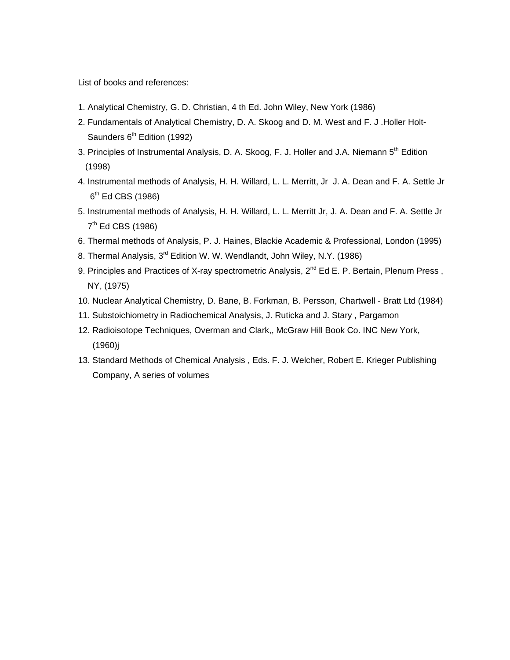List of books and references:

- 1. Analytical Chemistry, G. D. Christian, 4 th Ed. John Wiley, New York (1986)
- 2. Fundamentals of Analytical Chemistry, D. A. Skoog and D. M. West and F. J .Holler Holt- Saunders 6<sup>th</sup> Edition (1992)
- 3. Principles of Instrumental Analysis, D. A. Skoog, F. J. Holler and J.A. Niemann 5<sup>th</sup> Edition (1998)
- 4. Instrumental methods of Analysis, H. H. Willard, L. L. Merritt, Jr J. A. Dean and F. A. Settle Jr  $6<sup>th</sup>$  Ed CBS (1986)
- 5. Instrumental methods of Analysis, H. H. Willard, L. L. Merritt Jr, J. A. Dean and F. A. Settle Jr  $7<sup>th</sup>$  Ed CBS (1986)
- 6. Thermal methods of Analysis, P. J. Haines, Blackie Academic & Professional, London (1995)
- 8. Thermal Analysis, 3<sup>rd</sup> Edition W. W. Wendlandt, John Wiley, N.Y. (1986)
- 9. Principles and Practices of X-ray spectrometric Analysis, 2<sup>nd</sup> Ed E. P. Bertain, Plenum Press. NY, (1975)
- 10. Nuclear Analytical Chemistry, D. Bane, B. Forkman, B. Persson, Chartwell Bratt Ltd (1984)
- 11. Substoichiometry in Radiochemical Analysis, J. Ruticka and J. Stary , Pargamon
- 12. Radioisotope Techniques, Overman and Clark,, McGraw Hill Book Co. INC New York, (1960)j
- 13. Standard Methods of Chemical Analysis , Eds. F. J. Welcher, Robert E. Krieger Publishing Company, A series of volumes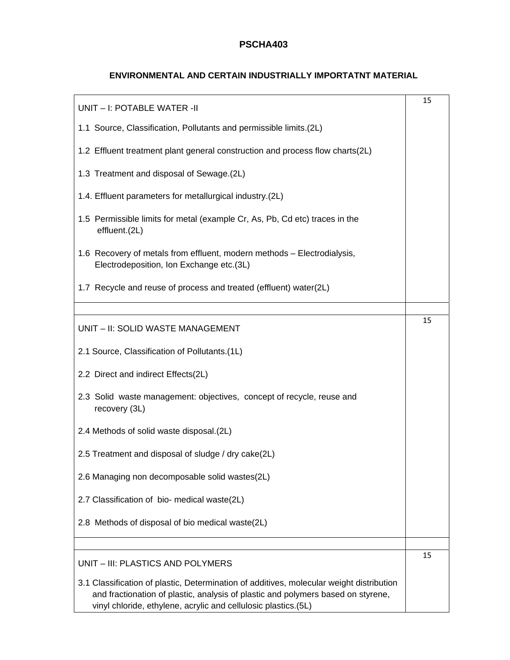#### **ENVIRONMENTAL AND CERTAIN INDUSTRIALLY IMPORTATNT MATERIAL**

| UNIT - I: POTABLE WATER -II                                                                                                                                                                                                                    | 15 |
|------------------------------------------------------------------------------------------------------------------------------------------------------------------------------------------------------------------------------------------------|----|
| 1.1 Source, Classification, Pollutants and permissible limits. (2L)                                                                                                                                                                            |    |
| 1.2 Effluent treatment plant general construction and process flow charts(2L)                                                                                                                                                                  |    |
| 1.3 Treatment and disposal of Sewage.(2L)                                                                                                                                                                                                      |    |
| 1.4. Effluent parameters for metallurgical industry.(2L)                                                                                                                                                                                       |    |
| 1.5 Permissible limits for metal (example Cr, As, Pb, Cd etc) traces in the<br>effluent.(2L)                                                                                                                                                   |    |
| 1.6 Recovery of metals from effluent, modern methods - Electrodialysis,<br>Electrodeposition, Ion Exchange etc.(3L)                                                                                                                            |    |
| 1.7 Recycle and reuse of process and treated (effluent) water(2L)                                                                                                                                                                              |    |
|                                                                                                                                                                                                                                                |    |
| UNIT - II: SOLID WASTE MANAGEMENT                                                                                                                                                                                                              | 15 |
| 2.1 Source, Classification of Pollutants.(1L)                                                                                                                                                                                                  |    |
| 2.2 Direct and indirect Effects(2L)                                                                                                                                                                                                            |    |
| 2.3 Solid waste management: objectives, concept of recycle, reuse and<br>recovery (3L)                                                                                                                                                         |    |
| 2.4 Methods of solid waste disposal.(2L)                                                                                                                                                                                                       |    |
| 2.5 Treatment and disposal of sludge / dry cake(2L)                                                                                                                                                                                            |    |
| 2.6 Managing non decomposable solid wastes(2L)                                                                                                                                                                                                 |    |
| 2.7 Classification of bio- medical waste(2L)                                                                                                                                                                                                   |    |
| 2.8 Methods of disposal of bio medical waste(2L)                                                                                                                                                                                               |    |
|                                                                                                                                                                                                                                                |    |
| UNIT - III: PLASTICS AND POLYMERS                                                                                                                                                                                                              | 15 |
| 3.1 Classification of plastic, Determination of additives, molecular weight distribution<br>and fractionation of plastic, analysis of plastic and polymers based on styrene,<br>vinyl chloride, ethylene, acrylic and cellulosic plastics.(5L) |    |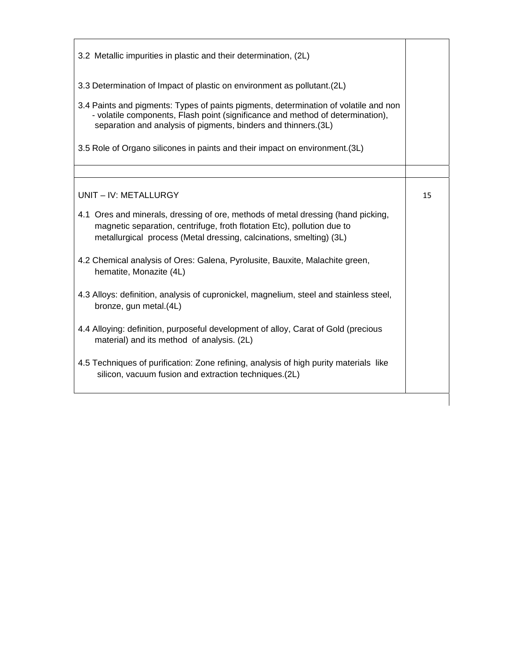| 3.2 Metallic impurities in plastic and their determination, (2L)                                                                                                                                                                         |    |
|------------------------------------------------------------------------------------------------------------------------------------------------------------------------------------------------------------------------------------------|----|
| 3.3 Determination of Impact of plastic on environment as pollutant. (2L)                                                                                                                                                                 |    |
| 3.4 Paints and pigments: Types of paints pigments, determination of volatile and non<br>- volatile components, Flash point (significance and method of determination),<br>separation and analysis of pigments, binders and thinners.(3L) |    |
| 3.5 Role of Organo silicones in paints and their impact on environment. (3L)                                                                                                                                                             |    |
|                                                                                                                                                                                                                                          |    |
| UNIT - IV: METALLURGY                                                                                                                                                                                                                    | 15 |
| 4.1 Ores and minerals, dressing of ore, methods of metal dressing (hand picking,<br>magnetic separation, centrifuge, froth flotation Etc), pollution due to<br>metallurgical process (Metal dressing, calcinations, smelting) (3L)       |    |
| 4.2 Chemical analysis of Ores: Galena, Pyrolusite, Bauxite, Malachite green,<br>hematite, Monazite (4L)                                                                                                                                  |    |
| 4.3 Alloys: definition, analysis of cupronickel, magnelium, steel and stainless steel,<br>bronze, gun metal.(4L)                                                                                                                         |    |
| 4.4 Alloying: definition, purposeful development of alloy, Carat of Gold (precious<br>material) and its method of analysis. (2L)                                                                                                         |    |
| 4.5 Techniques of purification: Zone refining, analysis of high purity materials like<br>silicon, vacuum fusion and extraction techniques.(2L)                                                                                           |    |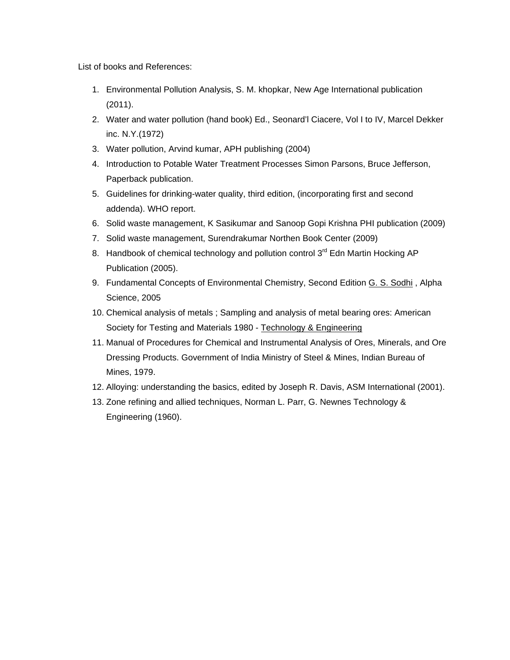List of books and References:

- 1. Environmental Pollution Analysis, S. M. khopkar, New Age International publication (2011).
- 2. Water and water pollution (hand book) Ed., Seonard'l Ciacere, Vol I to IV, Marcel Dekker inc. N.Y.(1972)
- 3. Water pollution, Arvind kumar, APH publishing (2004)
- 4. Introduction to Potable Water Treatment Processes Simon Parsons, Bruce Jefferson, Paperback publication.
- 5. Guidelines for drinking-water quality, third edition, (incorporating first and second addenda). WHO report.
- 6. Solid waste management, K Sasikumar and Sanoop Gopi Krishna PHI publication (2009)
- 7. Solid waste management, Surendrakumar Northen Book Center (2009)
- 8. Handbook of chemical technology and pollution control 3<sup>rd</sup> Edn Martin Hocking AP Publication (2005).
- 9. Fundamental Concepts of Environmental Chemistry, Second Edition G. S. Sodhi , Alpha Science, 2005
- 10. Chemical analysis of metals ; Sampling and analysis of metal bearing ores: American Society for Testing and Materials 1980 - Technology & Engineering
- 11. Manual of Procedures for Chemical and Instrumental Analysis of Ores, Minerals, and Ore Dressing Products. Government of India Ministry of Steel & Mines, Indian Bureau of Mines, 1979.
- 12. Alloying: understanding the basics, edited by Joseph R. Davis, ASM International (2001).
- 13. Zone refining and allied techniques, Norman L. Parr, G. Newnes Technology & Engineering (1960).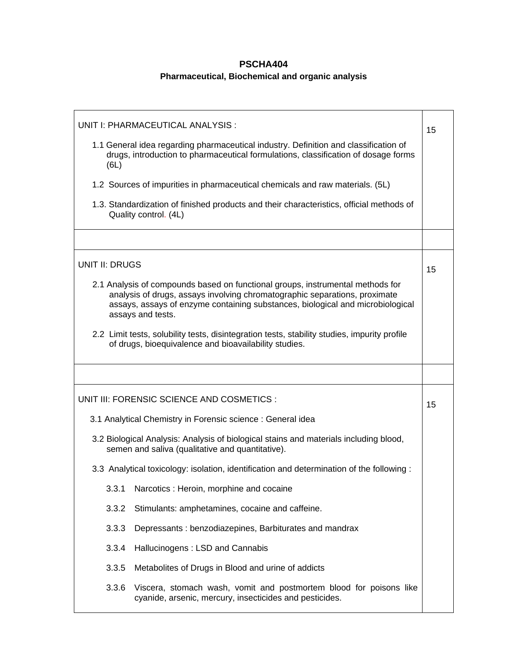# **PSCHA404 Pharmaceutical, Biochemical and organic analysis**

| UNIT I: PHARMACEUTICAL ANALYSIS :                                                                                                                                                                                                                                   | 15 |
|---------------------------------------------------------------------------------------------------------------------------------------------------------------------------------------------------------------------------------------------------------------------|----|
| 1.1 General idea regarding pharmaceutical industry. Definition and classification of<br>drugs, introduction to pharmaceutical formulations, classification of dosage forms<br>(6L)                                                                                  |    |
| 1.2 Sources of impurities in pharmaceutical chemicals and raw materials. (5L)                                                                                                                                                                                       |    |
| 1.3. Standardization of finished products and their characteristics, official methods of<br>Quality control. (4L)                                                                                                                                                   |    |
|                                                                                                                                                                                                                                                                     |    |
| <b>UNIT II: DRUGS</b>                                                                                                                                                                                                                                               | 15 |
| 2.1 Analysis of compounds based on functional groups, instrumental methods for<br>analysis of drugs, assays involving chromatographic separations, proximate<br>assays, assays of enzyme containing substances, biological and microbiological<br>assays and tests. |    |
| 2.2 Limit tests, solubility tests, disintegration tests, stability studies, impurity profile<br>of drugs, bioequivalence and bioavailability studies.                                                                                                               |    |
|                                                                                                                                                                                                                                                                     |    |
|                                                                                                                                                                                                                                                                     |    |
| UNIT III: FORENSIC SCIENCE AND COSMETICS :                                                                                                                                                                                                                          | 15 |
| 3.1 Analytical Chemistry in Forensic science : General idea                                                                                                                                                                                                         |    |
| 3.2 Biological Analysis: Analysis of biological stains and materials including blood,<br>semen and saliva (qualitative and quantitative).                                                                                                                           |    |
| 3.3 Analytical toxicology: isolation, identification and determination of the following :                                                                                                                                                                           |    |
| 3.3.1<br>Narcotics: Heroin, morphine and cocaine                                                                                                                                                                                                                    |    |
| 3.3.2<br>Stimulants: amphetamines, cocaine and caffeine.                                                                                                                                                                                                            |    |
| 3.3.3<br>Depressants: benzodiazepines, Barbiturates and mandrax                                                                                                                                                                                                     |    |
| 3.3.4<br>Hallucinogens: LSD and Cannabis                                                                                                                                                                                                                            |    |
| 3.3.5<br>Metabolites of Drugs in Blood and urine of addicts                                                                                                                                                                                                         |    |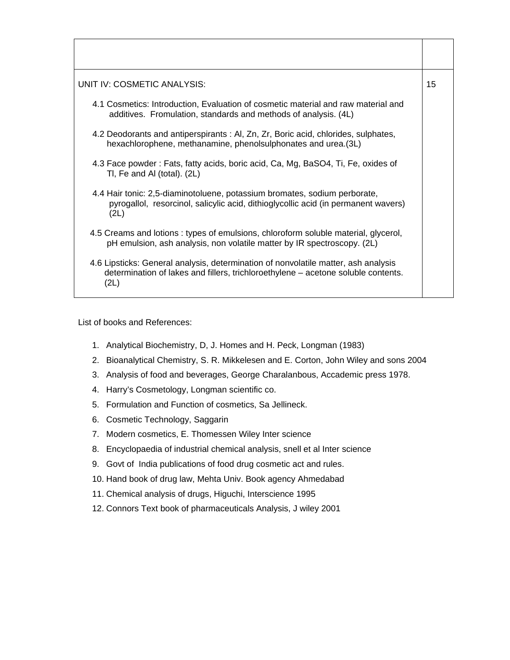| UNIT IV: COSMETIC ANALYSIS:                                                                                                                                                     | 15 |
|---------------------------------------------------------------------------------------------------------------------------------------------------------------------------------|----|
| 4.1 Cosmetics: Introduction, Evaluation of cosmetic material and raw material and<br>additives. Fromulation, standards and methods of analysis. (4L)                            |    |
| 4.2 Deodorants and antiperspirants : Al, Zn, Zr, Boric acid, chlorides, sulphates,<br>hexachlorophene, methanamine, phenolsulphonates and urea.(3L)                             |    |
| 4.3 Face powder: Fats, fatty acids, boric acid, Ca, Mg, BaSO4, Ti, Fe, oxides of<br>TI, Fe and AI (total). (2L)                                                                 |    |
| 4.4 Hair tonic: 2,5-diaminotoluene, potassium bromates, sodium perborate,<br>pyrogallol, resorcinol, salicylic acid, dithioglycollic acid (in permanent wavers)<br>(2L)         |    |
| 4.5 Creams and lotions : types of emulsions, chloroform soluble material, glycerol,<br>pH emulsion, ash analysis, non volatile matter by IR spectroscopy. (2L)                  |    |
| 4.6 Lipsticks: General analysis, determination of nonvolatile matter, ash analysis<br>determination of lakes and fillers, trichloroethylene – acetone soluble contents.<br>(2L) |    |

List of books and References:

- 1. Analytical Biochemistry, D, J. Homes and H. Peck, Longman (1983)
- 2. Bioanalytical Chemistry, S. R. Mikkelesen and E. Corton, John Wiley and sons 2004
- 3. Analysis of food and beverages, George Charalanbous, Accademic press 1978.
- 4. Harry's Cosmetology, Longman scientific co.
- 5. Formulation and Function of cosmetics, Sa Jellineck.
- 6. Cosmetic Technology, Saggarin
- 7. Modern cosmetics, E. Thomessen Wiley Inter science
- 8. Encyclopaedia of industrial chemical analysis, snell et al Inter science
- 9. Govt of India publications of food drug cosmetic act and rules.
- 10. Hand book of drug law, Mehta Univ. Book agency Ahmedabad
- 11. Chemical analysis of drugs, Higuchi, Interscience 1995
- 12. Connors Text book of pharmaceuticals Analysis, J wiley 2001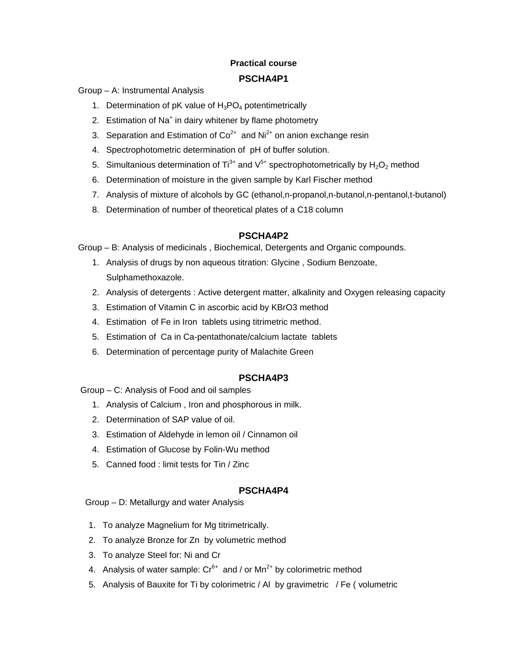# **Practical course PSCHA4P1**

Group – A: Instrumental Analysis

- 1. Determination of pK value of  $H_3PO_4$  potentimetrically
- 2. Estimation of Na<sup>+</sup> in dairy whitener by flame photometry
- 3. Separation and Estimation of  $Co^{2+}$  and  $Ni^{2+}$  on anion exchange resin
- 4. Spectrophotometric determination of pH of buffer solution.
- 5. Simultanious determination of Ti<sup>3+</sup> and  $V^{5+}$  spectrophotometrically by  $H_2O_2$  method
- 6. Determination of moisture in the given sample by Karl Fischer method
- 7. Analysis of mixture of alcohols by GC (ethanol,n-propanol,n-butanol,n-pentanol,t-butanol)
- 8. Determination of number of theoretical plates of a C18 column

#### **PSCHA4P2**

Group – B: Analysis of medicinals , Biochemical, Detergents and Organic compounds.

- 1. Analysis of drugs by non aqueous titration: Glycine , Sodium Benzoate, Sulphamethoxazole.
- 2. Analysis of detergents : Active detergent matter, alkalinity and Oxygen releasing capacity
- 3. Estimation of Vitamin C in ascorbic acid by KBrO3 method
- 4. Estimation of Fe in Iron tablets using titrimetric method.
- 5. Estimation of Ca in Ca-pentathonate/calcium lactate tablets
- 6. Determination of percentage purity of Malachite Green

#### **PSCHA4P3**

Group – C: Analysis of Food and oil samples

- 1. Analysis of Calcium , Iron and phosphorous in milk.
- 2. Determination of SAP value of oil.
- 3. Estimation of Aldehyde in lemon oil / Cinnamon oil
- 4. Estimation of Glucose by Folin-Wu method
- 5. Canned food : limit tests for Tin / Zinc

#### **PSCHA4P4**

Group – D: Metallurgy and water Analysis

- 1. To analyze Magnelium for Mg titrimetrically.
- 2. To analyze Bronze for Zn by volumetric method
- 3. To analyze Steel for: Ni and Cr
- 4. Analysis of water sample:  $Cr^{6+}$  and / or  $Mn^{2+}$  by colorimetric method
- 5. Analysis of Bauxite for Ti by colorimetric / Al by gravimetric / Fe ( volumetric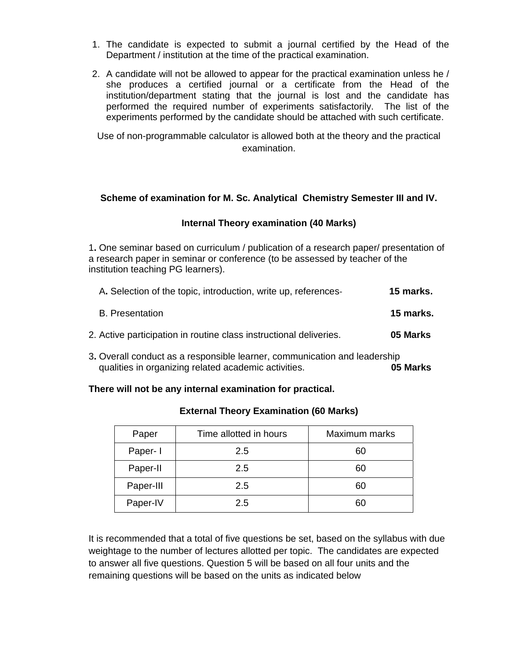- 1. The candidate is expected to submit a journal certified by the Head of the Department / institution at the time of the practical examination.
- 2. A candidate will not be allowed to appear for the practical examination unless he / she produces a certified journal or a certificate from the Head of the institution/department stating that the journal is lost and the candidate has performed the required number of experiments satisfactorily. The list of the experiments performed by the candidate should be attached with such certificate.

Use of non-programmable calculator is allowed both at the theory and the practical examination.

#### **Scheme of examination for M. Sc. Analytical Chemistry Semester III and IV.**

#### **Internal Theory examination (40 Marks)**

1**.** One seminar based on curriculum / publication of a research paper/ presentation of a research paper in seminar or conference (to be assessed by teacher of the institution teaching PG learners).

| A. Selection of the topic, introduction, write up, references-     | 15 marks. |
|--------------------------------------------------------------------|-----------|
| <b>B.</b> Presentation                                             | 15 marks. |
| 2. Active participation in routine class instructional deliveries. | 05 Marks  |

3**.** Overall conduct as a responsible learner, communication and leadership qualities in organizing related academic activities. **05 Marks**

#### **There will not be any internal examination for practical.**

| Paper     | Time allotted in hours | Maximum marks |  |
|-----------|------------------------|---------------|--|
| Paper-1   | 2.5                    | 60            |  |
| Paper-II  | 2.5                    | 60            |  |
| Paper-III | 2.5                    | 60            |  |
| Paper-IV  | 2.5                    | 60            |  |

#### **External Theory Examination (60 Marks)**

It is recommended that a total of five questions be set, based on the syllabus with due weightage to the number of lectures allotted per topic. The candidates are expected to answer all five questions. Question 5 will be based on all four units and the remaining questions will be based on the units as indicated below